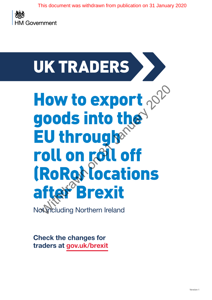

# UK TRADERS How to export goods into the **EU througheral** roll on roll off (RoRo<sup>t</sup> locations **Brexit** Not including Northern Ireland **How to export <sub>202</sub>0**<br>Joods into the<br>EU through<sup>®</sup><br>Toll on roll off<br>RoRoll locations<br>Interactions<br>Interactions Northem Ireland

**Check the changes for traders at [gov.uk/brexit](https://www.gov.uk/brexit)**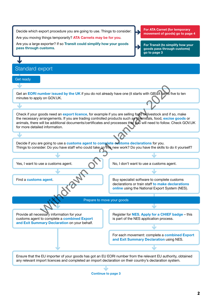<span id="page-1-0"></span>

| Decide which export procedure you are going to use. Things to consider:                                                                                                                                                                                                                                                                                                            | For ATA Carnet (for temporary                                                                                                                     |
|------------------------------------------------------------------------------------------------------------------------------------------------------------------------------------------------------------------------------------------------------------------------------------------------------------------------------------------------------------------------------------|---------------------------------------------------------------------------------------------------------------------------------------------------|
| movement of goods) go to page 4<br>Are you moving things temporarily? ATA Carnets may be for you.                                                                                                                                                                                                                                                                                  |                                                                                                                                                   |
| Are you a large exporter? If so Transit could simplify how your goods<br>For Transit (to simplify how your<br>pass through customs.<br>goods pass through customs)<br>go to page 3                                                                                                                                                                                                 |                                                                                                                                                   |
|                                                                                                                                                                                                                                                                                                                                                                                    |                                                                                                                                                   |
| Standard export                                                                                                                                                                                                                                                                                                                                                                    |                                                                                                                                                   |
| Get ready                                                                                                                                                                                                                                                                                                                                                                          |                                                                                                                                                   |
|                                                                                                                                                                                                                                                                                                                                                                                    |                                                                                                                                                   |
| Get an EORI number issued by the UK if you do not already have one (it starts with GB). It takes five to ten<br>minutes to apply on GOV.UK.                                                                                                                                                                                                                                        |                                                                                                                                                   |
|                                                                                                                                                                                                                                                                                                                                                                                    |                                                                                                                                                   |
| Check if your goods need an export licence, for example if you are selling food or livestock and if so, make<br>the necessary arrangements. If you are trading controlled products such as chemicals, food, excise goods or<br>animals, there will be additional documents/certificates and processes that you will need to follow. Check GOV.UK<br>for more detailed information. |                                                                                                                                                   |
|                                                                                                                                                                                                                                                                                                                                                                                    |                                                                                                                                                   |
| Decide if you are going to use a customs agent to complete oustoms declarations for you.<br>Things to consider: Do you have staff who could take on this new work? Do you have the skills to do it yourself?                                                                                                                                                                       |                                                                                                                                                   |
|                                                                                                                                                                                                                                                                                                                                                                                    |                                                                                                                                                   |
| Yes, I want to use a customs agent.                                                                                                                                                                                                                                                                                                                                                | No, I don't want to use a customs agent.                                                                                                          |
|                                                                                                                                                                                                                                                                                                                                                                                    |                                                                                                                                                   |
| Find a customs agent.                                                                                                                                                                                                                                                                                                                                                              | Buy specialist software to complete customs<br>declarations or train staff to make declarations<br>online using the National Export System (NES). |
| Prepare to move your goods                                                                                                                                                                                                                                                                                                                                                         |                                                                                                                                                   |
|                                                                                                                                                                                                                                                                                                                                                                                    |                                                                                                                                                   |
| Provide all necessary information for your<br>customs agent to complete a combined Export<br>and Exit Summary Declaration on your behalf.                                                                                                                                                                                                                                          | Register for NES Apply for a CHIEF badge - this<br>is part of the NES application process.                                                        |
|                                                                                                                                                                                                                                                                                                                                                                                    |                                                                                                                                                   |
|                                                                                                                                                                                                                                                                                                                                                                                    | For each movement: complete a combined Export<br>and Exit Summary Declaration using NES.                                                          |
|                                                                                                                                                                                                                                                                                                                                                                                    |                                                                                                                                                   |
| Ensure that the EU importer of your goods has got an EU EORI number from the relevant EU authority, obtained<br>any relevant import licences and completed an import declaration on their country's declaration system.                                                                                                                                                            |                                                                                                                                                   |

 $\sqrt{}$ **[Continue to page 3](#page-2-0)**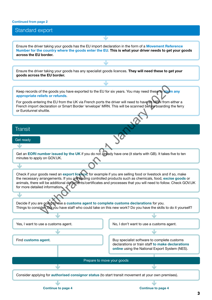#### <span id="page-2-0"></span>**[Continued from page 2](#page-1-0)**

# Standard export  $\overline{\mathbf{v}}$ Ensure the driver taking your goods has the EU import declaration in the form of a **[Movement Reference](https://www.gov.uk/guidance/moving-goods-to-and-from-the-eu-through-roll-on-roll-off-locations-including-eurotunnel#mast-ref)  [Number for the country where the goods enter the EU](https://www.gov.uk/guidance/moving-goods-to-and-from-the-eu-through-roll-on-roll-off-locations-including-eurotunnel#mast-ref)**. **This is what your driver needs to get your goods across the EU border.** J

Ensure the driver taking your goods has any specialist goods licences. **They will need these to get your goods across the EU border.**

| Keep records of the goods you have exported to the EU for six years. You may need these to claim any<br>appropriate reliefs or refunds.<br>For goods entering the EU from the UK via French ports the driver will need to have an MBN from either a<br>French import declaration or Smart Border 'envelope' MRN. This will be scanned before boarding the ferry<br>or Eurotunnel shuttle. |                                                                                                                                                   |
|-------------------------------------------------------------------------------------------------------------------------------------------------------------------------------------------------------------------------------------------------------------------------------------------------------------------------------------------------------------------------------------------|---------------------------------------------------------------------------------------------------------------------------------------------------|
|                                                                                                                                                                                                                                                                                                                                                                                           |                                                                                                                                                   |
| <b>Transit</b>                                                                                                                                                                                                                                                                                                                                                                            |                                                                                                                                                   |
| Get ready                                                                                                                                                                                                                                                                                                                                                                                 |                                                                                                                                                   |
| Get an EORI number issued by the UK if you do not already have one (it starts with GB). It takes five to ten<br>minutes to apply on GOV.UK.                                                                                                                                                                                                                                               |                                                                                                                                                   |
| J                                                                                                                                                                                                                                                                                                                                                                                         |                                                                                                                                                   |
| Check if your goods need an export licence, for example if you are selling food or livestock and if so, make<br>the necessary arrangements. If you are trading controlled products such as chemicals, food, excise goods or<br>animals, there will be additional documents/certificates and processes that you will need to follow. Check GOV.UK<br>for more detailed information.        |                                                                                                                                                   |
|                                                                                                                                                                                                                                                                                                                                                                                           |                                                                                                                                                   |
| Decide if you are going to use a customs agent to complete customs declarations for you.<br>Things to consider. Do you have staff who could take on this new work? Do you have the skills to do it yourself?                                                                                                                                                                              |                                                                                                                                                   |
|                                                                                                                                                                                                                                                                                                                                                                                           |                                                                                                                                                   |
| Yes, I want to use a customs agent.                                                                                                                                                                                                                                                                                                                                                       | No, I don't want to use a customs agent.                                                                                                          |
|                                                                                                                                                                                                                                                                                                                                                                                           |                                                                                                                                                   |
| Find customs agent.                                                                                                                                                                                                                                                                                                                                                                       | Buy specialist software to complete customs<br>declarations or train staff to make declarations<br>online using the National Export System (NES). |
| Prepare to move your goods                                                                                                                                                                                                                                                                                                                                                                |                                                                                                                                                   |
| مك                                                                                                                                                                                                                                                                                                                                                                                        |                                                                                                                                                   |
| Consider applying for authorised consignor status (to start transit movement at your own premises).                                                                                                                                                                                                                                                                                       |                                                                                                                                                   |
|                                                                                                                                                                                                                                                                                                                                                                                           |                                                                                                                                                   |